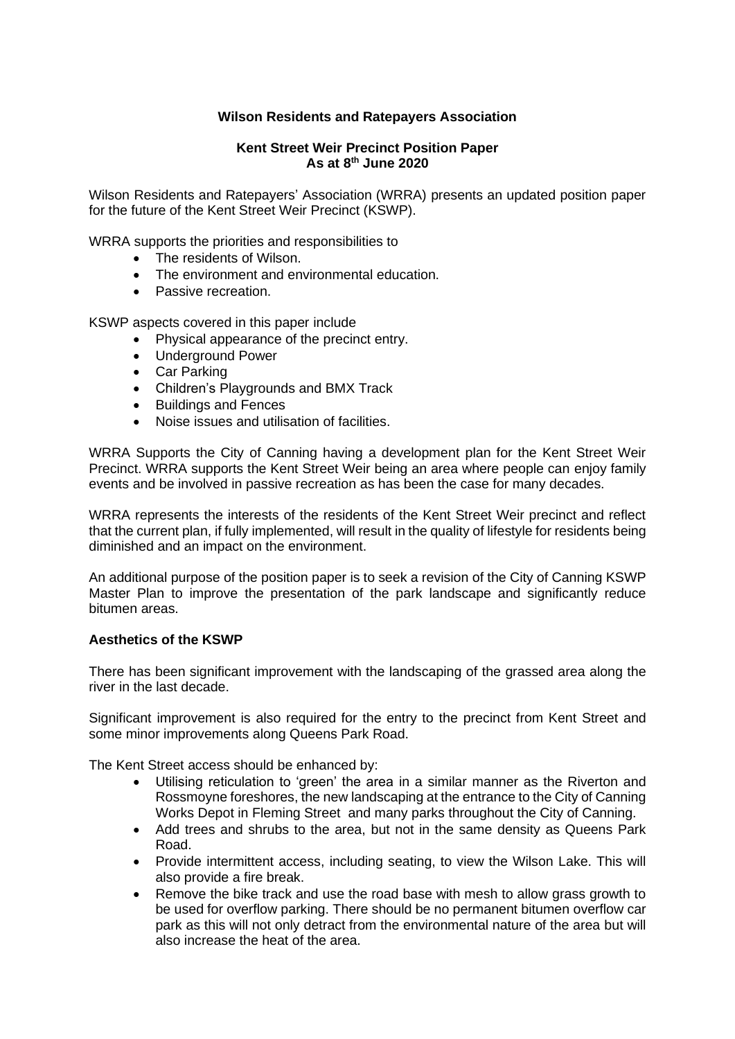# **Wilson Residents and Ratepayers Association**

# **Kent Street Weir Precinct Position Paper As at 8 th June 2020**

Wilson Residents and Ratepayers' Association (WRRA) presents an updated position paper for the future of the Kent Street Weir Precinct (KSWP).

WRRA supports the priorities and responsibilities to

- The residents of Wilson.
- The environment and environmental education.
- Passive recreation.

KSWP aspects covered in this paper include

- Physical appearance of the precinct entry.
- Underground Power
- Car Parking
- Children's Playgrounds and BMX Track
- Buildings and Fences
- Noise issues and utilisation of facilities.

WRRA Supports the City of Canning having a development plan for the Kent Street Weir Precinct. WRRA supports the Kent Street Weir being an area where people can enjoy family events and be involved in passive recreation as has been the case for many decades.

WRRA represents the interests of the residents of the Kent Street Weir precinct and reflect that the current plan, if fully implemented, will result in the quality of lifestyle for residents being diminished and an impact on the environment.

An additional purpose of the position paper is to seek a revision of the City of Canning KSWP Master Plan to improve the presentation of the park landscape and significantly reduce bitumen areas.

### **Aesthetics of the KSWP**

There has been significant improvement with the landscaping of the grassed area along the river in the last decade.

Significant improvement is also required for the entry to the precinct from Kent Street and some minor improvements along Queens Park Road.

The Kent Street access should be enhanced by:

- Utilising reticulation to 'green' the area in a similar manner as the Riverton and Rossmoyne foreshores, the new landscaping at the entrance to the City of Canning Works Depot in Fleming Street and many parks throughout the City of Canning.
- Add trees and shrubs to the area, but not in the same density as Queens Park Road.
- Provide intermittent access, including seating, to view the Wilson Lake. This will also provide a fire break.
- Remove the bike track and use the road base with mesh to allow grass growth to be used for overflow parking. There should be no permanent bitumen overflow car park as this will not only detract from the environmental nature of the area but will also increase the heat of the area.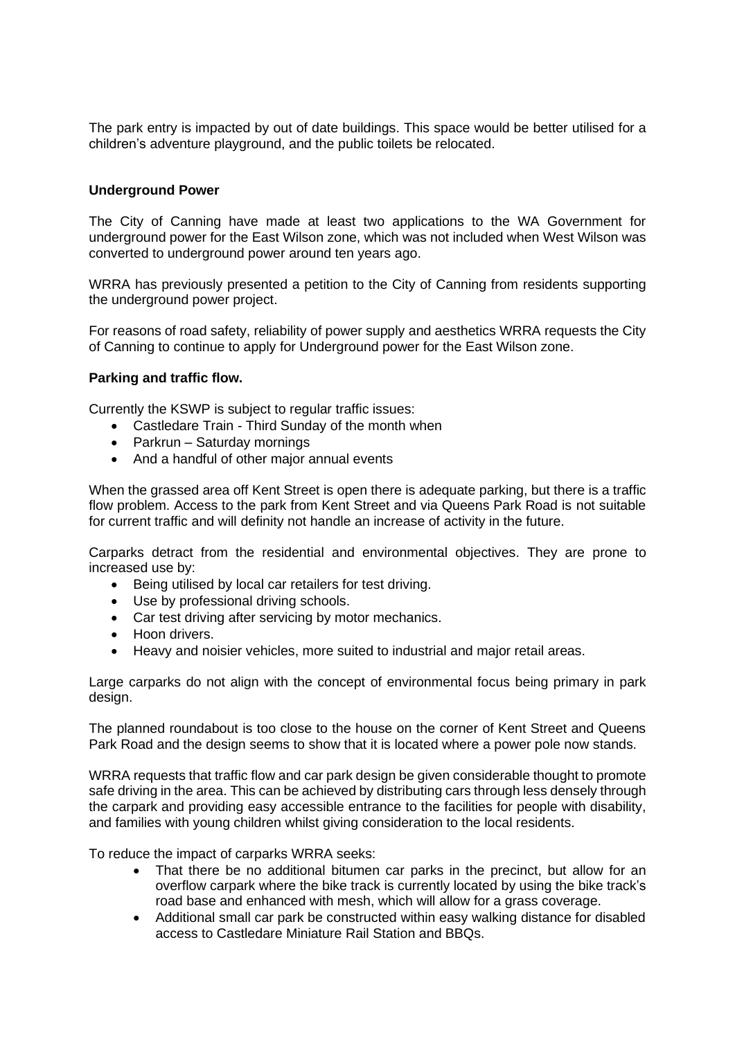The park entry is impacted by out of date buildings. This space would be better utilised for a children's adventure playground, and the public toilets be relocated.

## **Underground Power**

The City of Canning have made at least two applications to the WA Government for underground power for the East Wilson zone, which was not included when West Wilson was converted to underground power around ten years ago.

WRRA has previously presented a petition to the City of Canning from residents supporting the underground power project.

For reasons of road safety, reliability of power supply and aesthetics WRRA requests the City of Canning to continue to apply for Underground power for the East Wilson zone.

## **Parking and traffic flow.**

Currently the KSWP is subject to regular traffic issues:

- Castledare Train Third Sunday of the month when
- Parkrun Saturday mornings
- And a handful of other major annual events

When the grassed area off Kent Street is open there is adequate parking, but there is a traffic flow problem. Access to the park from Kent Street and via Queens Park Road is not suitable for current traffic and will definity not handle an increase of activity in the future.

Carparks detract from the residential and environmental objectives. They are prone to increased use by:

- Being utilised by local car retailers for test driving.
- Use by professional driving schools.
- Car test driving after servicing by motor mechanics.
- Hoon drivers.
- Heavy and noisier vehicles, more suited to industrial and major retail areas.

Large carparks do not align with the concept of environmental focus being primary in park design.

The planned roundabout is too close to the house on the corner of Kent Street and Queens Park Road and the design seems to show that it is located where a power pole now stands.

WRRA requests that traffic flow and car park design be given considerable thought to promote safe driving in the area. This can be achieved by distributing cars through less densely through the carpark and providing easy accessible entrance to the facilities for people with disability, and families with young children whilst giving consideration to the local residents.

To reduce the impact of carparks WRRA seeks:

- That there be no additional bitumen car parks in the precinct, but allow for an overflow carpark where the bike track is currently located by using the bike track's road base and enhanced with mesh, which will allow for a grass coverage.
- Additional small car park be constructed within easy walking distance for disabled access to Castledare Miniature Rail Station and BBQs.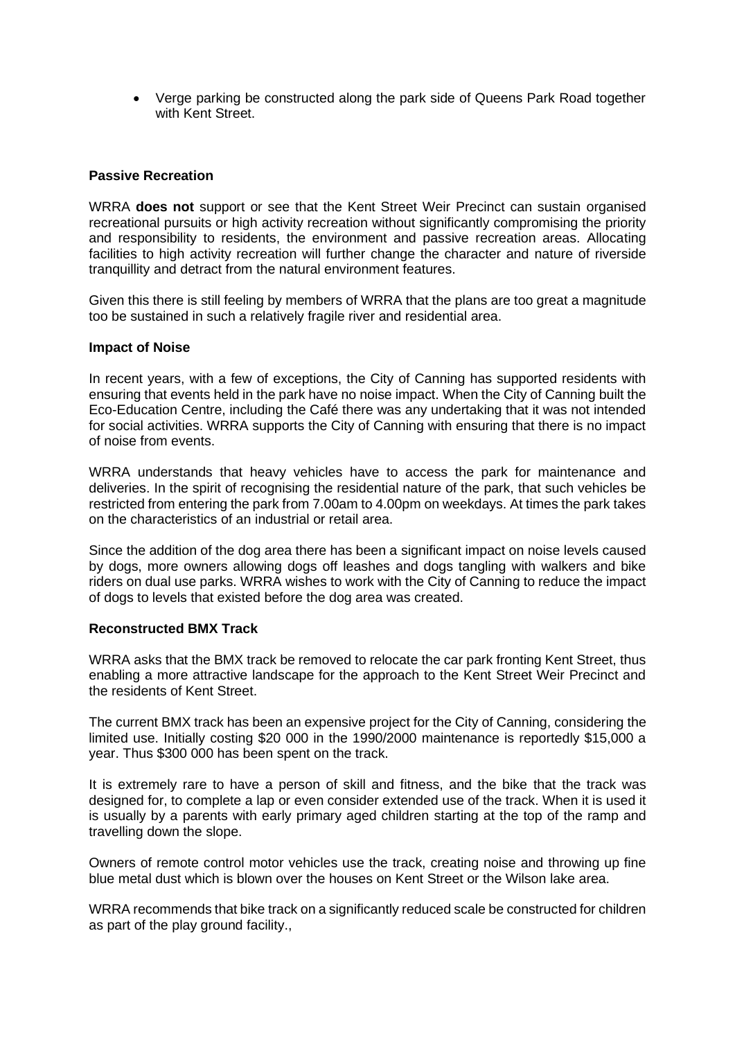• Verge parking be constructed along the park side of Queens Park Road together with Kent Street.

## **Passive Recreation**

WRRA **does not** support or see that the Kent Street Weir Precinct can sustain organised recreational pursuits or high activity recreation without significantly compromising the priority and responsibility to residents, the environment and passive recreation areas. Allocating facilities to high activity recreation will further change the character and nature of riverside tranquillity and detract from the natural environment features.

Given this there is still feeling by members of WRRA that the plans are too great a magnitude too be sustained in such a relatively fragile river and residential area.

### **Impact of Noise**

In recent years, with a few of exceptions, the City of Canning has supported residents with ensuring that events held in the park have no noise impact. When the City of Canning built the Eco-Education Centre, including the Café there was any undertaking that it was not intended for social activities. WRRA supports the City of Canning with ensuring that there is no impact of noise from events.

WRRA understands that heavy vehicles have to access the park for maintenance and deliveries. In the spirit of recognising the residential nature of the park, that such vehicles be restricted from entering the park from 7.00am to 4.00pm on weekdays. At times the park takes on the characteristics of an industrial or retail area.

Since the addition of the dog area there has been a significant impact on noise levels caused by dogs, more owners allowing dogs off leashes and dogs tangling with walkers and bike riders on dual use parks. WRRA wishes to work with the City of Canning to reduce the impact of dogs to levels that existed before the dog area was created.

## **Reconstructed BMX Track**

WRRA asks that the BMX track be removed to relocate the car park fronting Kent Street, thus enabling a more attractive landscape for the approach to the Kent Street Weir Precinct and the residents of Kent Street.

The current BMX track has been an expensive project for the City of Canning, considering the limited use. Initially costing \$20 000 in the 1990/2000 maintenance is reportedly \$15,000 a year. Thus \$300 000 has been spent on the track.

It is extremely rare to have a person of skill and fitness, and the bike that the track was designed for, to complete a lap or even consider extended use of the track. When it is used it is usually by a parents with early primary aged children starting at the top of the ramp and travelling down the slope.

Owners of remote control motor vehicles use the track, creating noise and throwing up fine blue metal dust which is blown over the houses on Kent Street or the Wilson lake area.

WRRA recommends that bike track on a significantly reduced scale be constructed for children as part of the play ground facility.,